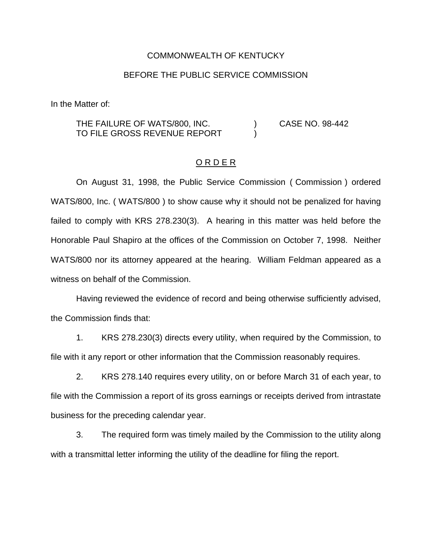## COMMONWEALTH OF KENTUCKY

## BEFORE THE PUBLIC SERVICE COMMISSION

In the Matter of:

## THE FAILURE OF WATS/800, INC. (a) CASE NO. 98-442 TO FILE GROSS REVENUE REPORT

## O R D E R

On August 31, 1998, the Public Service Commission ( Commission ) ordered WATS/800, Inc. ( WATS/800 ) to show cause why it should not be penalized for having failed to comply with KRS 278.230(3). A hearing in this matter was held before the Honorable Paul Shapiro at the offices of the Commission on October 7, 1998. Neither WATS/800 nor its attorney appeared at the hearing. William Feldman appeared as a witness on behalf of the Commission.

Having reviewed the evidence of record and being otherwise sufficiently advised, the Commission finds that:

1. KRS 278.230(3) directs every utility, when required by the Commission, to file with it any report or other information that the Commission reasonably requires.

2. KRS 278.140 requires every utility, on or before March 31 of each year, to file with the Commission a report of its gross earnings or receipts derived from intrastate business for the preceding calendar year.

3. The required form was timely mailed by the Commission to the utility along with a transmittal letter informing the utility of the deadline for filing the report.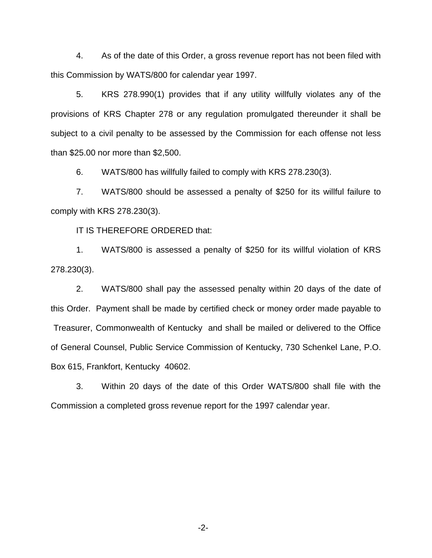4. As of the date of this Order, a gross revenue report has not been filed with this Commission by WATS/800 for calendar year 1997.

5. KRS 278.990(1) provides that if any utility willfully violates any of the provisions of KRS Chapter 278 or any regulation promulgated thereunder it shall be subject to a civil penalty to be assessed by the Commission for each offense not less than \$25.00 nor more than \$2,500.

6. WATS/800 has willfully failed to comply with KRS 278.230(3).

7. WATS/800 should be assessed a penalty of \$250 for its willful failure to comply with KRS 278.230(3).

IT IS THEREFORE ORDERED that:

1. WATS/800 is assessed a penalty of \$250 for its willful violation of KRS 278.230(3).

2. WATS/800 shall pay the assessed penalty within 20 days of the date of this Order. Payment shall be made by certified check or money order made payable to Treasurer, Commonwealth of Kentucky and shall be mailed or delivered to the Office of General Counsel, Public Service Commission of Kentucky, 730 Schenkel Lane, P.O. Box 615, Frankfort, Kentucky 40602.

3. Within 20 days of the date of this Order WATS/800 shall file with the Commission a completed gross revenue report for the 1997 calendar year.

-2-